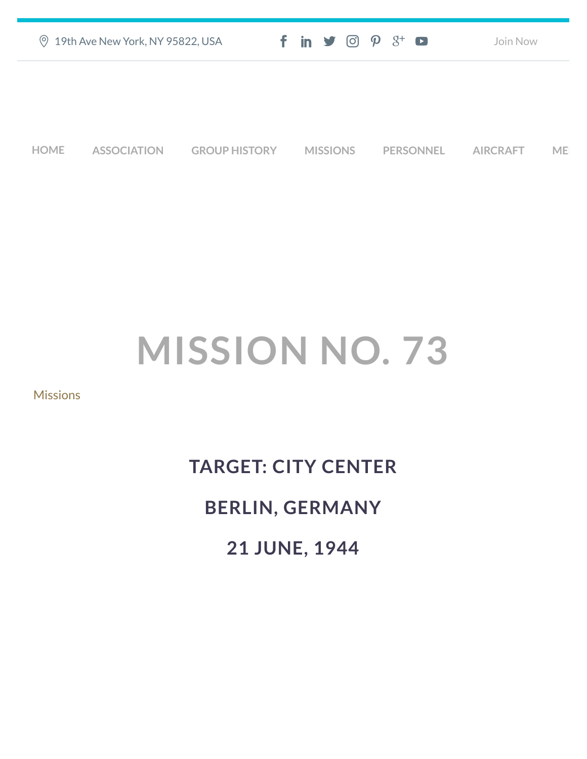| ◎ 19th Ave New York, NY 95822, USA | $f$ in $\blacktriangleright$ $\odot$ $\varphi$ $3$ <sup>+</sup> $\blacktriangleright$ | Join Now |
|------------------------------------|---------------------------------------------------------------------------------------|----------|
|                                    |                                                                                       |          |
|                                    |                                                                                       |          |
|                                    |                                                                                       |          |

**[HOME](https://457thbombgroupassoc.org/)** [ASSOCIATION](https://457thbombgroupassoc.org/mission-no-73/#) [GROUP HISTORY](https://457thbombgroupassoc.org/mission-no-73/#) [MISSIONS](https://457thbombgroupassoc.org/mission-no-73/#) [PERSONNEL](https://457thbombgroupassoc.org/mission-no-73/#) [AIRCRAFT](https://457thbombgroupassoc.org/mission-no-73/#) [MED](https://457thbombgroupassoc.org/mission-no-73/#)

## **MISSION NO. 73**

[Missions](https://457thbombgroupassoc.org/category/missions/)

## **TARGET: CITY CENTER BERLIN, GERMANY 21 JUNE, 1944**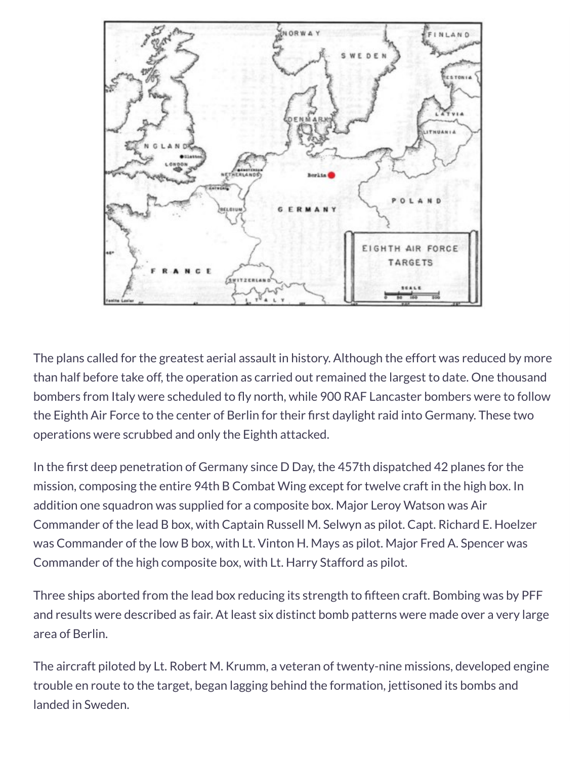

The plans called for the greatest aerial assault in history. Although the effort was reduced by more than half before take off, the operation as carried out remained the largest to date. One thousand bombers from Italy were scheduled to fly north, while 900 RAF Lancaster bombers were to follow the Eighth Air Force to the center of Berlin for their first daylight raid into Germany. These two operations were scrubbed and only the Eighth attacked.

In the first deep penetration of Germany since D Day, the 457th dispatched 42 planes for the mission, composing the entire 94th B Combat Wing except for twelve craft in the high box. In addition one squadron was supplied for a composite box. Major Leroy Watson was Air Commander of the lead B box, with Captain Russell M. Selwyn as pilot. Capt. Richard E. Hoelzer was Commander of the low B box, with Lt. Vinton H. Mays as pilot. Major Fred A. Spencer was Commander of the high composite box, with Lt. Harry Stafford as pilot.

Three ships aborted from the lead box reducing its strength to fifteen craft. Bombing was by PFF and results were described as fair. At least six distinct bomb patterns were made over a very large area of Berlin.

The aircraft piloted by Lt. Robert M. Krumm, a veteran of twenty-nine missions, developed engine trouble en route to the target, began lagging behind the formation, jettisoned its bombs and landed in Sweden.